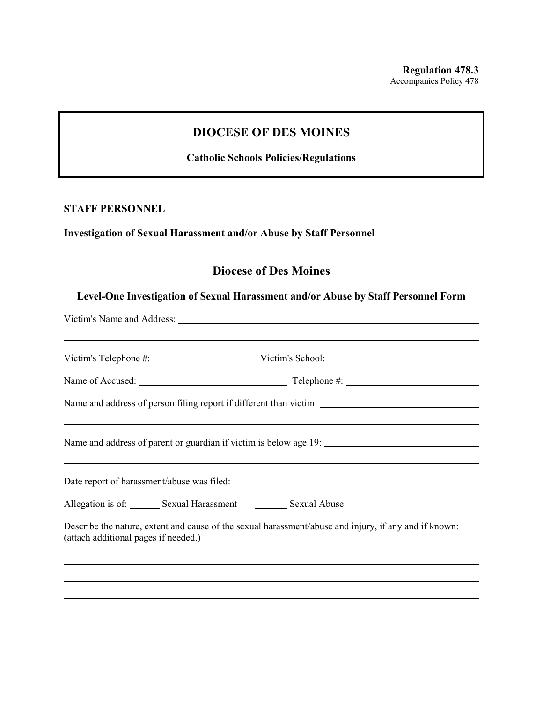## **DIOCESE OF DES MOINES**

**Catholic Schools Policies/Regulations**

#### **STAFF PERSONNEL**

### **Investigation of Sexual Harassment and/or Abuse by Staff Personnel**

# **Diocese of Des Moines**

#### **Level-One Investigation of Sexual Harassment and/or Abuse by Staff Personnel Form**

| ,我们也不会有什么。""我们的人,我们也不会有什么?""我们的人,我们也不会有什么?""我们的人,我们也不会有什么?""我们的人,我们也不会有什么?""我们的人                                                              |
|-----------------------------------------------------------------------------------------------------------------------------------------------|
|                                                                                                                                               |
| Allegation is of: Sexual Harassment Sexual Abuse                                                                                              |
| Describe the nature, extent and cause of the sexual harassment/abuse and injury, if any and if known:<br>(attach additional pages if needed.) |
| <u> 1999 - Jan James James Barnett, amerikan berlindar (h. 1989).</u>                                                                         |
| <u> 1989 - Andrea Santa Andrea Santa Andrea Santa Andrea Santa Andrea Santa Andrea Santa Andrea Santa Andrea Santa</u>                        |
| <u>. A shekara ta 1999 na mai 1999 na mai 1999 na mai 1999 na mai 1999. Ann an t-aiste ann an t-aiste ann an t-ai</u>                         |
|                                                                                                                                               |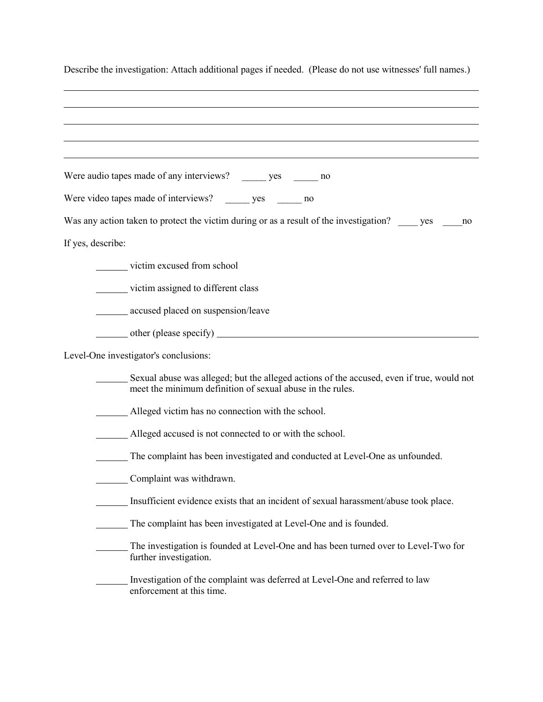| Describe the investigation: Attach additional pages if needed. (Please do not use witnesses' full names.)                                              |
|--------------------------------------------------------------------------------------------------------------------------------------------------------|
|                                                                                                                                                        |
|                                                                                                                                                        |
|                                                                                                                                                        |
| Were audio tapes made of any interviews? _______ yes _______ no                                                                                        |
| Were video tapes made of interviews? _______ yes _______ no                                                                                            |
| Was any action taken to protect the victim during or as a result of the investigation?<br>no                                                           |
| If yes, describe:                                                                                                                                      |
| victim excused from school                                                                                                                             |
| victim assigned to different class                                                                                                                     |
| accused placed on suspension/leave                                                                                                                     |
|                                                                                                                                                        |
| Level-One investigator's conclusions:                                                                                                                  |
| Sexual abuse was alleged; but the alleged actions of the accused, even if true, would not<br>meet the minimum definition of sexual abuse in the rules. |
| Alleged victim has no connection with the school.                                                                                                      |
| Alleged accused is not connected to or with the school.                                                                                                |
| The complaint has been investigated and conducted at Level-One as unfounded.                                                                           |
| Complaint was withdrawn.                                                                                                                               |
| Insufficient evidence exists that an incident of sexual harassment/abuse took place.                                                                   |
| The complaint has been investigated at Level-One and is founded.                                                                                       |
| The investigation is founded at Level-One and has been turned over to Level-Two for<br>further investigation.                                          |
| Investigation of the complaint was deferred at Level-One and referred to law<br>enforcement at this time.                                              |